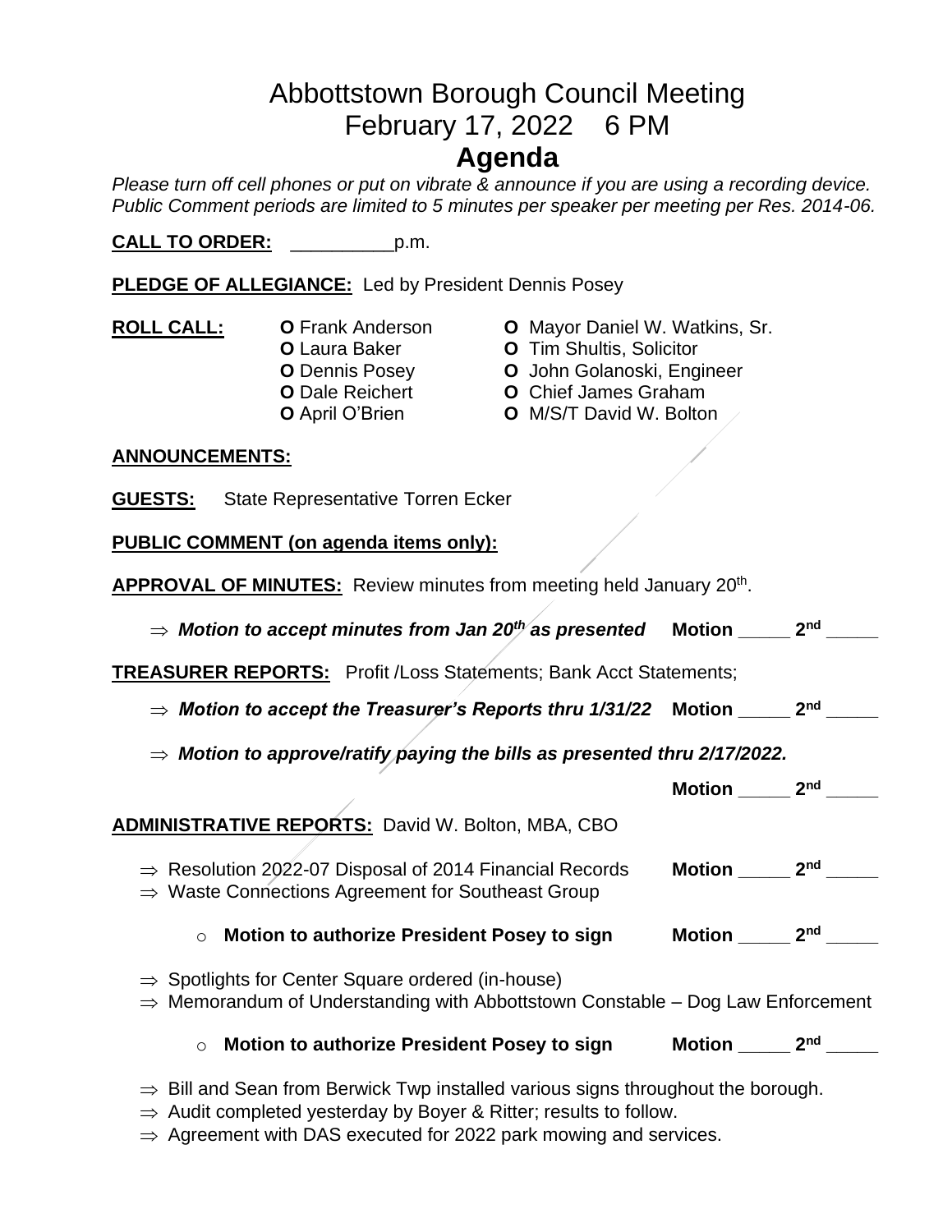# Abbottstown Borough Council Meeting February 17, 2022 6 PM

## **Agenda**

*Please turn off cell phones or put on vibrate & announce if you are using a recording device. Public Comment periods are limited to 5 minutes per speaker per meeting per Res. 2014-06.* 

**CALL TO ORDER:** \_\_\_\_\_\_\_\_\_\_p.m.

**PLEDGE OF ALLEGIANCE:** Led by President Dennis Posey

- **ROLL CALL: O** Frank Anderson **O** Mayor Daniel W. Watkins, Sr.
- - **O** Laura Baker **O** Tim Shultis, Solicitor
	- **O** Dennis Posey **O** John Golanoski, Engineer
	- **O** Dale Reichert **O** Chief James Graham
	- **O** April O'Brien **O** M/S/T David W. Bolton

#### **ANNOUNCEMENTS:**

**GUESTS:** State Representative Torren Ecker

**PUBLIC COMMENT (on agenda items only):**

**APPROVAL OF MINUTES:** Review minutes from meeting held January 20th .

| $\Rightarrow$ Motion to accept minutes from Jan 20 <sup>th</sup> as presented                                                                               | <b>Motion</b> | 2 <sub>nd</sub> |
|-------------------------------------------------------------------------------------------------------------------------------------------------------------|---------------|-----------------|
| <b>TREASURER REPORTS:</b> Profit /Loss Statements; Bank Acct Statements;                                                                                    |               |                 |
| $\Rightarrow$ Motion to accept the Treasurer's Reports thru 1/31/22 $\,$ Motion $\,$                                                                        |               | 2 <sub>nd</sub> |
| $\Rightarrow$ Motion to approve/ratify paying the bills as presented thru 2/17/2022.                                                                        |               |                 |
|                                                                                                                                                             | Motion        | 2 <sub>nd</sub> |
| <b>ADMINISTRATIVE REPORTS: David W. Bolton, MBA, CBO</b>                                                                                                    |               |                 |
| $\Rightarrow$ Resolution 2022-07 Disposal of 2014 Financial Records<br>$\Rightarrow$ Waste Connections Agreement for Southeast Group                        | Motion        | 2 <sub>nd</sub> |
| Motion to authorize President Posey to sign<br>$\circ$                                                                                                      | Motion        | 2 <sup>nd</sup> |
| $\Rightarrow$ Spotlights for Center Square ordered (in-house)<br>$\Rightarrow$ Memorandum of Understanding with Abbottstown Constable – Dog Law Enforcement |               |                 |
| Motion to authorize President Posey to sign<br>$\circ$                                                                                                      | <b>Motion</b> | 2 <sub>nd</sub> |

- $\Rightarrow$  Bill and Sean from Berwick Twp installed various signs throughout the borough.
- $\Rightarrow$  Audit completed yesterday by Boyer & Ritter; results to follow.
- $\Rightarrow$  Agreement with DAS executed for 2022 park mowing and services.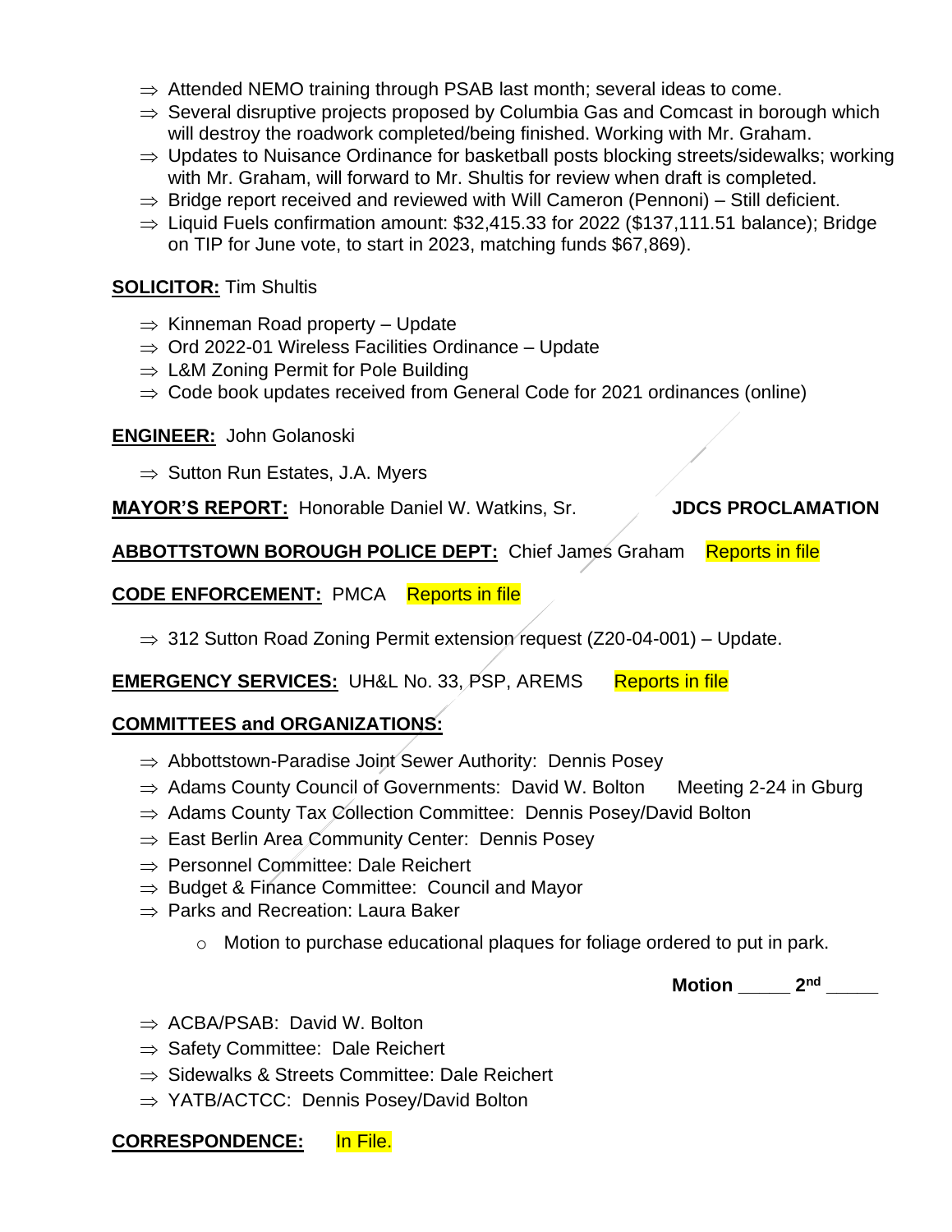- $\Rightarrow$  Attended NEMO training through PSAB last month; several ideas to come.
- $\Rightarrow$  Several disruptive projects proposed by Columbia Gas and Comcast in borough which will destroy the roadwork completed/being finished. Working with Mr. Graham.
- $\Rightarrow$  Updates to Nuisance Ordinance for basketball posts blocking streets/sidewalks; working with Mr. Graham, will forward to Mr. Shultis for review when draft is completed.
- $\Rightarrow$  Bridge report received and reviewed with Will Cameron (Pennoni) Still deficient.
- $\Rightarrow$  Liguid Fuels confirmation amount: \$32,415.33 for 2022 (\$137,111.51 balance); Bridge on TIP for June vote, to start in 2023, matching funds \$67,869).

#### **SOLICITOR:** Tim Shultis

- $\Rightarrow$  Kinneman Road property Update
- $\Rightarrow$  Ord 2022-01 Wireless Facilities Ordinance Update
- $\Rightarrow$  L&M Zoning Permit for Pole Building
- $\Rightarrow$  Code book updates received from General Code for 2021 ordinances (online)

#### **ENGINEER:** John Golanoski

 $\Rightarrow$  Sutton Run Estates, J.A. Myers

#### **MAYOR'S REPORT:** Honorable Daniel W. Watkins, Sr. **JDCS PROCLAMATION**

**ABBOTTSTOWN BOROUGH POLICE DEPT:** Chief James Graham Reports in file

#### **CODE ENFORCEMENT:** PMCA Reports in file

 $\Rightarrow$  312 Sutton Road Zoning Permit extension request (Z20-04-001) – Update.

**EMERGENCY SERVICES:** UH&L No. 33, PSP, AREMS Reports in file

### **COMMITTEES and ORGANIZATIONS:**

- $\Rightarrow$  Abbottstown-Paradise Joint Sewer Authority: Dennis Posey
- $\Rightarrow$  Adams County Council of Governments: David W. Bolton Meeting 2-24 in Gburg
- $\Rightarrow$  Adams County Tax Collection Committee: Dennis Posey/David Bolton
- $\Rightarrow$  East Berlin Area Community Center: Dennis Posey
- $\Rightarrow$  Personnel Committee: Dale Reichert
- $\Rightarrow$  Budget & Finance Committee: Council and Mayor
- $\Rightarrow$  Parks and Recreation: Laura Baker
	- o Motion to purchase educational plaques for foliage ordered to put in park.

**Motion \_\_\_\_\_ 2nd \_\_\_\_\_**

- $\Rightarrow$  ACBA/PSAB: David W. Bolton
- $\Rightarrow$  Safety Committee: Dale Reichert
- $\Rightarrow$  Sidewalks & Streets Committee: Dale Reichert
- $\Rightarrow$  YATB/ACTCC: Dennis Posey/David Bolton

#### **CORRESPONDENCE:** In File.